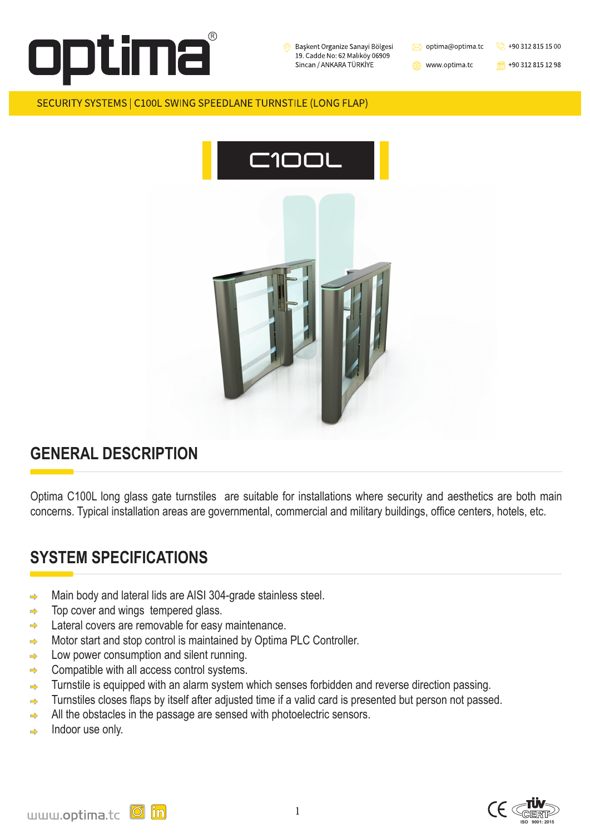

Başkent Organize Sanayi Bölgesi 19. Cadde No: 62 Malıköy 06909 Sincan / ANKARA TÜRKİYE

optima@optima.tc  $\bowtie$ 

www.optima.tc

1

 $\frac{1}{100}$  +90 312 815 12 98

 $\otimes$  +90 312 815 15 00

#### SECURITY SYSTEMS | C100L SWING SPEEDLANE TURNSTILE (LONG FLAP)











### **GENERAL DESCRIPTION**

- Main body and lateral lids are AISI 304-grade stainless steel.  $\Rightarrow$
- Top cover and wings tempered glass.  $\Rightarrow$
- Lateral covers are removable for easy maintenance.  $\Rightarrow$
- Motor start and stop control is maintained by Optima PLC Controller.  $\Rightarrow$
- Low power consumption and silent running.  $\Rightarrow$
- Compatible with all access control systems.  $\Rightarrow$
- Turnstile is equipped with an alarm system which senses forbidden and reverse direction passing.  $\Rightarrow$
- Turnstiles closes flaps by itself after adjusted time if a valid card is presented but person not passed.  $\Rightarrow$

Optima C100L long glass gate turnstiles are suitable for installations where security and aesthetics are both main concerns. Typical installation areas are governmental, commercial and military buildings, office centers, hotels, etc.

### **SYSTEM SPECIFICATIONS**

- All the obstacles in the passage are sensed with photoelectric sensors.  $\Rightarrow$
- Indoor use only.